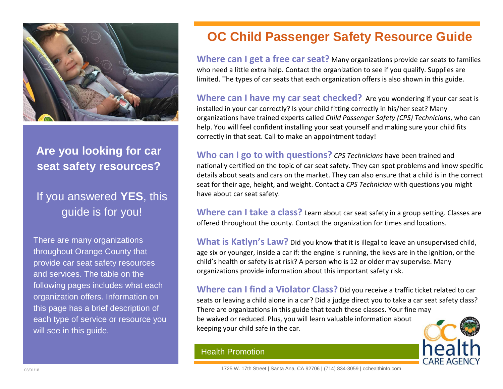

#### **Are you looking for car seat safety resources?**

# If you answered **YES**, this guide is for you!

There are many organizations throughout Orange County that provide car seat safety resources and services. The table on the following pages includes what each organization offers. Information on this page has a brief description of each type of service or resource you will see in this guide.

# **OC Child Passenger Safety Resource Guide**

**Where can I get a free car seat?** Many organizations provide car seats to families who need a little extra help. Contact the organization to see if you qualify. Supplies are limited. The types of car seats that each organization offers is also shown in this guide.

**Where can I have my car seat checked?** Are you wondering if your car seat is installed in your car correctly? Is your child fitting correctly in his/her seat? Many organizations have trained experts called *Child Passenger Safety (CPS) Technicians*, who can help. You will feel confident installing your seat yourself and making sure your child fits correctly in that seat. Call to make an appointment today!

**Who can I go to with questions?** *CPS Technicians* have been trained and nationally certified on the topic of car seat safety. They can spot problems and know specific details about seats and cars on the market. They can also ensure that a child is in the correct seat for their age, height, and weight. Contact a *CPS Technician* with questions you might have about car seat safety.

**Where can I take a class?** Learn about car seat safety in a group setting. Classes are offered throughout the county. Contact the organization for times and locations.

What is Katlyn's Law? Did you know that it is illegal to leave an unsupervised child, age six or younger, inside a car if: the engine is running, the keys are in the ignition, or the child's health or safety is at risk? A person who is 12 or older may supervise. Many organizations provide information about this important safety risk.

**Where can I find a Violator Class?** Did you receive a traffic ticket related to car seats or leaving a child alone in a car? Did a judge direct you to take a car seat safety class? There are organizations in this guide that teach these classes. Your fine may be waived or reduced. Plus, you will learn valuable information about keeping your child safe in the car.

#### Health Promotion

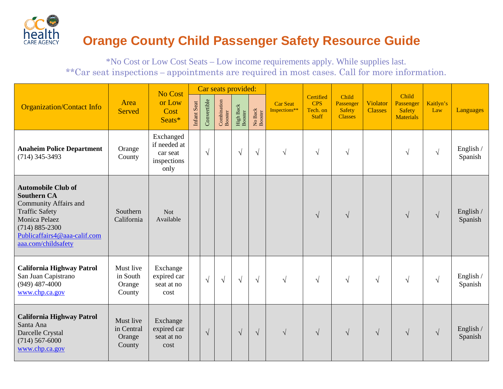

### **Orange County Child Passenger Safety Resource Guide**

\*No Cost or Low Cost Seats – Low income requirements apply. While supplies last. \*\*Car seat inspections – appointments are required in most cases. Call for more information.

|                                                                                                                                                                                                        |                                             | No Cost                                                      |             |             |                               | Car seats provided:  |                    |                                  |                                                     |                                                       |                            |                                                         |                  |                      |
|--------------------------------------------------------------------------------------------------------------------------------------------------------------------------------------------------------|---------------------------------------------|--------------------------------------------------------------|-------------|-------------|-------------------------------|----------------------|--------------------|----------------------------------|-----------------------------------------------------|-------------------------------------------------------|----------------------------|---------------------------------------------------------|------------------|----------------------|
| <b>Organization/Contact Info</b>                                                                                                                                                                       | Area<br><b>Served</b>                       | or Low<br>Cost<br>Seats*                                     | Infant Seat | Convertible | <b>Combination</b><br>Booster | High Back<br>Booster | No Back<br>Booster | <b>Car Seat</b><br>Inspections** | Certified<br><b>CPS</b><br>Tech. on<br><b>Staff</b> | Child<br>Passenger<br><b>Safety</b><br><b>Classes</b> | Violator<br><b>Classes</b> | Child<br>Passenger<br><b>Safety</b><br><b>Materials</b> | Kaitlyn's<br>Law | Languages            |
| <b>Anaheim Police Department</b><br>$(714)$ 345-3493                                                                                                                                                   | Orange<br>County                            | Exchanged<br>if needed at<br>car seat<br>inspections<br>only |             | $\sqrt{ }$  |                               | $\sqrt{ }$           | $\sqrt{ }$         | $\sqrt{ }$                       | $\sqrt{ }$                                          | $\sqrt{ }$                                            |                            | $\sqrt{ }$                                              | $\sqrt{ }$       | English /<br>Spanish |
| <b>Automobile Club of</b><br><b>Southern CA</b><br><b>Community Affairs and</b><br><b>Traffic Safety</b><br>Monica Pelaez<br>$(714) 885 - 2300$<br>Publicaffairs4@aaa-calif.com<br>aaa.com/childsafety | Southern<br>California                      | <b>Not</b><br>Available                                      |             |             |                               |                      |                    |                                  | $\sqrt{ }$                                          | $\sqrt{ }$                                            |                            | $\sqrt{}$                                               | $\sqrt{ }$       | English /<br>Spanish |
| <b>California Highway Patrol</b><br>San Juan Capistrano<br>$(949)$ 487-4000<br>www.chp.ca.gov                                                                                                          | Must live<br>in South<br>Orange<br>County   | Exchange<br>expired car<br>seat at no<br>cost                |             | $\sqrt{ }$  | $\sqrt{}$                     | $\sqrt{ }$           | $\sqrt{ }$         | $\sqrt{ }$                       | $\sqrt{ }$                                          | $\sqrt{ }$                                            | $\sqrt{ }$                 | $\sqrt{}$                                               | $\sqrt{ }$       | English /<br>Spanish |
| <b>California Highway Patrol</b><br>Santa Ana<br>Darcelle Crystal<br>$(714)$ 567-6000<br>www.chp.ca.gov                                                                                                | Must live<br>in Central<br>Orange<br>County | Exchange<br>expired car<br>seat at no<br>cost                |             | $\sqrt{ }$  |                               | $\sqrt{ }$           | $\sqrt{ }$         | $\sqrt{ }$                       | $\sqrt{ }$                                          | $\sqrt{ }$                                            | $\sqrt{ }$                 | $\sqrt{}$                                               | $\sqrt{ }$       | English /<br>Spanish |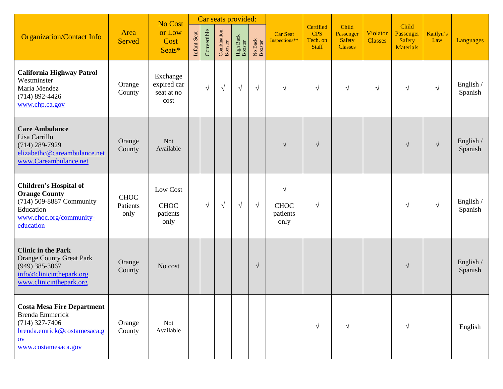|                                                                                                                                               |                                 | <b>No Cost</b>                                |             |             |                        | Car seats provided:                   |                    |                                               |                                                     |                                                       |                            |                                                         |                  |                      |
|-----------------------------------------------------------------------------------------------------------------------------------------------|---------------------------------|-----------------------------------------------|-------------|-------------|------------------------|---------------------------------------|--------------------|-----------------------------------------------|-----------------------------------------------------|-------------------------------------------------------|----------------------------|---------------------------------------------------------|------------------|----------------------|
| <b>Organization/Contact Info</b>                                                                                                              | Area<br><b>Served</b>           | or Low<br>Cost<br>Seats*                      | Infant Seat | Convertible | Combination<br>Booster | ${\rm High \, Back} \\ {\rm Booster}$ | No Back<br>Booster | <b>Car Seat</b><br>Inspections**              | Certified<br><b>CPS</b><br>Tech. on<br><b>Staff</b> | Child<br>Passenger<br><b>Safety</b><br><b>Classes</b> | Violator<br><b>Classes</b> | Child<br>Passenger<br><b>Safety</b><br><b>Materials</b> | Kaitlyn's<br>Law | Languages            |
| <b>California Highway Patrol</b><br>Westminster<br>Maria Mendez<br>$(714)$ 892-4426<br>www.chp.ca.gov                                         | Orange<br>County                | Exchange<br>expired car<br>seat at no<br>cost |             | $\sqrt{ }$  | $\sqrt{ }$             | $\sqrt{ }$                            | $\sqrt{ }$         | $\sqrt{ }$                                    | $\sqrt{ }$                                          | $\sqrt{ }$                                            | $\sqrt{ }$                 | $\sqrt{ }$                                              | $\sqrt{ }$       | English /<br>Spanish |
| <b>Care Ambulance</b><br>Lisa Carrillo<br>$(714)$ 289-7929<br>elizabethc@careambulance.net<br>www.Careambulance.net                           | Orange<br>County                | <b>Not</b><br>Available                       |             |             |                        |                                       |                    | $\sqrt{ }$                                    | $\sqrt{ }$                                          |                                                       |                            | $\sqrt{}$                                               | $\sqrt{ }$       | English /<br>Spanish |
| <b>Children's Hospital of</b><br><b>Orange County</b><br>(714) 509-8887 Community<br>Education<br>www.choc.org/community-<br>education        | <b>CHOC</b><br>Patients<br>only | Low Cost<br><b>CHOC</b><br>patients<br>only   |             | $\sqrt{ }$  | $\sqrt{ }$             | $\sqrt{}$                             | $\sqrt{ }$         | $\sqrt{ }$<br><b>CHOC</b><br>patients<br>only | $\sqrt{ }$                                          |                                                       |                            | $\sqrt{ }$                                              | $\sqrt{ }$       | English /<br>Spanish |
| <b>Clinic in the Park</b><br><b>Orange County Great Park</b><br>$(949)$ 385-3067<br>info@clinicinthepark.org<br>www.clinicinthepark.org       | Orange<br>County                | No cost                                       |             |             |                        |                                       | $\sqrt{ }$         |                                               |                                                     |                                                       |                            | $\sqrt{}$                                               |                  | English /<br>Spanish |
| <b>Costa Mesa Fire Department</b><br><b>Brenda Emmerick</b><br>$(714)$ 327-7406<br>brenda.emrick@costamesaca.g<br>$ov$<br>www.costamesaca.gov | Orange<br>County                | <b>Not</b><br>Available                       |             |             |                        |                                       |                    |                                               | $\sqrt{ }$                                          | $\sqrt{ }$                                            |                            | $\sqrt{}$                                               |                  | English              |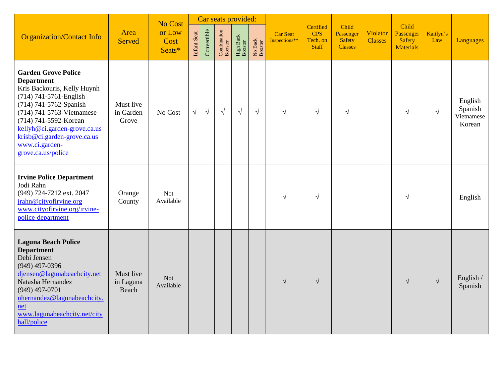|                                                                                                                                                                                                                                                                                                 |                                 | No Cost                  |             |             |                        | Car seats provided:  |                    |                                  |                                                     |                                                       |                            | Child                                          |                  |                                            |
|-------------------------------------------------------------------------------------------------------------------------------------------------------------------------------------------------------------------------------------------------------------------------------------------------|---------------------------------|--------------------------|-------------|-------------|------------------------|----------------------|--------------------|----------------------------------|-----------------------------------------------------|-------------------------------------------------------|----------------------------|------------------------------------------------|------------------|--------------------------------------------|
| <b>Organization/Contact Info</b>                                                                                                                                                                                                                                                                | Area<br><b>Served</b>           | or Low<br>Cost<br>Seats* | Infant Seat | Convertible | Combination<br>Booster | High Back<br>Booster | No Back<br>Booster | <b>Car Seat</b><br>Inspections** | Certified<br><b>CPS</b><br>Tech. on<br><b>Staff</b> | Child<br>Passenger<br><b>Safety</b><br><b>Classes</b> | Violator<br><b>Classes</b> | Passenger<br><b>Safety</b><br><b>Materials</b> | Kaitlyn's<br>Law | Languages                                  |
| <b>Garden Grove Police</b><br><b>Department</b><br>Kris Backouris, Kelly Huynh<br>(714) 741-5761-English<br>(714) 741-5762-Spanish<br>(714) 741-5763-Vietnamese<br>(714) 741-5592-Korean<br>kellyh@ci.garden-grove.ca.us<br>krisb@ci.garden-grove.ca.us<br>www.ci.garden-<br>grove.ca.us/police | Must live<br>in Garden<br>Grove | No Cost                  | $\sqrt{ }$  | $\sqrt{ }$  | $\sqrt{}$              | $\sqrt{ }$           | $\sqrt{ }$         | $\sqrt{}$                        | $\sqrt{ }$                                          | $\sqrt{ }$                                            |                            | $\sqrt{ }$                                     | $\sqrt{ }$       | English<br>Spanish<br>Vietnamese<br>Korean |
| <b>Irvine Police Department</b><br>Jodi Rahn<br>(949) 724-7212 ext. 2047<br>jrahn@cityofirvine.org<br>www.cityofirvine.org/irvine-<br>police-department                                                                                                                                         | Orange<br>County                | Not<br>Available         |             |             |                        |                      |                    | $\sqrt{ }$                       | $\sqrt{ }$                                          |                                                       |                            | $\sqrt{}$                                      |                  | English                                    |
| <b>Laguna Beach Police</b><br><b>Department</b><br>Debi Jensen<br>$(949)$ 497-0396<br>djensen@lagunabeachcity.net<br>Natasha Hernandez<br>$(949)$ 497-0701<br>nhernandez@lagunabeachcity.<br>net<br>www.lagunabeachcity.net/city<br>hall/police                                                 | Must live<br>in Laguna<br>Beach | <b>Not</b><br>Available  |             |             |                        |                      |                    | $\sqrt{ }$                       | $\sqrt{ }$                                          |                                                       |                            | $\sqrt{ }$                                     | $\sqrt{ }$       | English /<br>Spanish                       |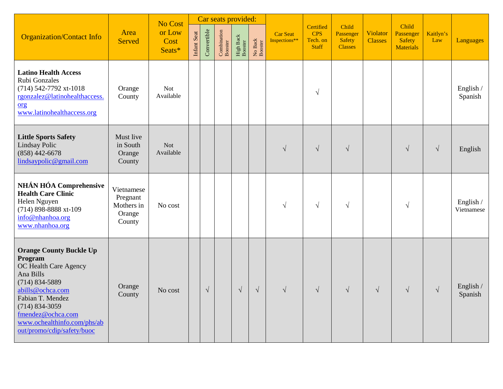|                                                                                                                                                                                                                                                       |                                                          | No Cost                  |             |             | Car seats provided:    |                      |                    |                                  |                                                     |                                                |                            |                                                         |                  |                         |
|-------------------------------------------------------------------------------------------------------------------------------------------------------------------------------------------------------------------------------------------------------|----------------------------------------------------------|--------------------------|-------------|-------------|------------------------|----------------------|--------------------|----------------------------------|-----------------------------------------------------|------------------------------------------------|----------------------------|---------------------------------------------------------|------------------|-------------------------|
| <b>Organization/Contact Info</b>                                                                                                                                                                                                                      | Area<br><b>Served</b>                                    | or Low<br>Cost<br>Seats* | Infant Seat | Convertible | Combination<br>Booster | High Back<br>Booster | No Back<br>Booster | <b>Car Seat</b><br>Inspections** | Certified<br><b>CPS</b><br>Tech. on<br><b>Staff</b> | Child<br>Passenger<br>Safety<br><b>Classes</b> | Violator<br><b>Classes</b> | Child<br>Passenger<br><b>Safety</b><br><b>Materials</b> | Kaitlyn's<br>Law | Languages               |
| <b>Latino Health Access</b><br>Rubi Gonzales<br>(714) 542-7792 xt-1018<br>rgonzalez@latinohealthaccess.<br>$org$<br>www.latinohealthaccess.org                                                                                                        | Orange<br>County                                         | <b>Not</b><br>Available  |             |             |                        |                      |                    |                                  | $\sqrt{ }$                                          |                                                |                            |                                                         |                  | English /<br>Spanish    |
| <b>Little Sports Safety</b><br>Lindsay Polic<br>$(858)$ 442-6678<br>lindsaypolic@gmail.com                                                                                                                                                            | Must live<br>in South<br>Orange<br>County                | <b>Not</b><br>Available  |             |             |                        |                      |                    | $\sqrt{ }$                       | $\sqrt{ }$                                          | $\sqrt{ }$                                     |                            | $\sqrt{ }$                                              | $\sqrt{ }$       | English                 |
| <b>NHÁN HÓA Comprehensive</b><br><b>Health Care Clinic</b><br>Helen Nguyen<br>(714) 898-8888 xt-109<br>info@nhanhoa.org<br>www.nhanhoa.org                                                                                                            | Vietnamese<br>Pregnant<br>Mothers in<br>Orange<br>County | No cost                  |             |             |                        |                      |                    | $\sqrt{ }$                       | $\sqrt{ }$                                          | $\sqrt{ }$                                     |                            | $\sqrt{}$                                               |                  | English /<br>Vietnamese |
| <b>Orange County Buckle Up</b><br>Program<br>OC Health Care Agency<br>Ana Bills<br>$(714) 834 - 5889$<br>abills@ochca.com<br>Fabian T. Mendez<br>$(714) 834 - 3059$<br>fmendez@ochca.com<br>www.ochealthinfo.com/phs/ab<br>out/promo/cdip/safety/buoc | Orange<br>County                                         | No cost                  |             | $\sqrt{}$   |                        | $\sqrt{ }$           | $\sqrt{ }$         | $\sqrt{ }$                       | $\sqrt{ }$                                          | $\sqrt{ }$                                     | $\sqrt{ }$                 | $\sqrt{ }$                                              | $\sqrt{ }$       | English /<br>Spanish    |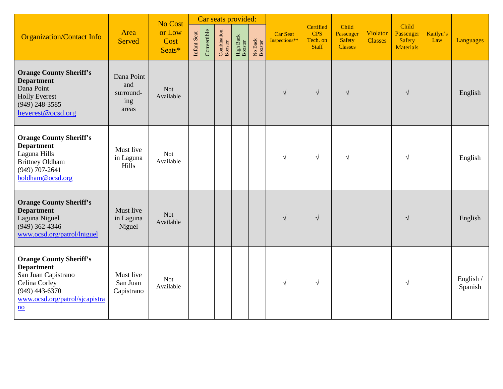| <b>Organization/Contact Info</b>                                                                                                                                      | Area<br><b>Served</b>                          | No Cost<br>or Low<br>Cost<br>Seats* | Infant Seat | Convertible | Car seats provided:<br>Combination<br>Booster | ${\rm High \, Back} \\ {\rm Booster}$ | No Back<br>Booster | <b>Car Seat</b><br>Inspections** | Certified<br><b>CPS</b><br>Tech. on<br><b>Staff</b> | Child<br>Passenger<br><b>Safety</b><br><b>Classes</b> | Violator<br><b>Classes</b> | Child<br>Passenger<br>Safety<br><b>Materials</b> | Kaitlyn's<br>Law | Languages            |
|-----------------------------------------------------------------------------------------------------------------------------------------------------------------------|------------------------------------------------|-------------------------------------|-------------|-------------|-----------------------------------------------|---------------------------------------|--------------------|----------------------------------|-----------------------------------------------------|-------------------------------------------------------|----------------------------|--------------------------------------------------|------------------|----------------------|
| <b>Orange County Sheriff's</b><br><b>Department</b><br>Dana Point<br><b>Holly Everest</b><br>$(949)$ 248-3585<br>heverest@ocsd.org                                    | Dana Point<br>and<br>surround-<br>ing<br>areas | <b>Not</b><br>Available             |             |             |                                               |                                       |                    | $\sqrt{ }$                       | $\sqrt{ }$                                          | $\sqrt{ }$                                            |                            | $\sqrt{ }$                                       |                  | English              |
| <b>Orange County Sheriff's</b><br><b>Department</b><br>Laguna Hills<br><b>Brittney Oldham</b><br>$(949)$ 707-2641<br>boldham@ocsd.org                                 | Must live<br>in Laguna<br>Hills                | Not<br>Available                    |             |             |                                               |                                       |                    | $\sqrt{ }$                       | $\sqrt{ }$                                          | $\sqrt{ }$                                            |                            | $\sqrt{ }$                                       |                  | English              |
| <b>Orange County Sheriff's</b><br><b>Department</b><br>Laguna Niguel<br>$(949)$ 362-4346<br>www.ocsd.org/patrol/lniguel                                               | Must live<br>in Laguna<br>Niguel               | <b>Not</b><br>Available             |             |             |                                               |                                       |                    | $\sqrt{}$                        | $\sqrt{ }$                                          |                                                       |                            | $\sqrt{ }$                                       |                  | English              |
| <b>Orange County Sheriff's</b><br><b>Department</b><br>San Juan Capistrano<br>Celina Corley<br>$(949)$ 443-6370<br>www.ocsd.org/patrol/sjcapistra<br>$\underline{no}$ | Must live<br>San Juan<br>Capistrano            | Not<br>Available                    |             |             |                                               |                                       |                    | $\sqrt{}$                        | $\sqrt{ }$                                          |                                                       |                            | $\sqrt{ }$                                       |                  | English /<br>Spanish |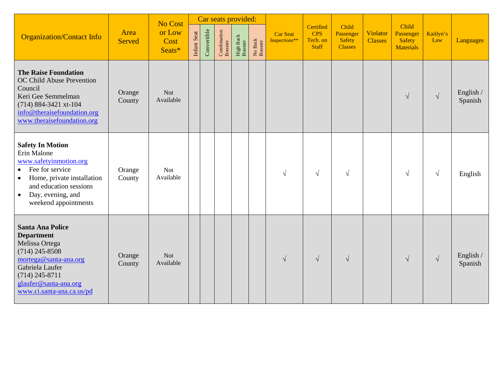|                                                                                                                                                                                                                                 |                       | No Cost                  |             |             | Car seats provided:    |                      |                    |                           |                                                     |                                                       |                            |                                                         |                  |                      |
|---------------------------------------------------------------------------------------------------------------------------------------------------------------------------------------------------------------------------------|-----------------------|--------------------------|-------------|-------------|------------------------|----------------------|--------------------|---------------------------|-----------------------------------------------------|-------------------------------------------------------|----------------------------|---------------------------------------------------------|------------------|----------------------|
| <b>Organization/Contact Info</b>                                                                                                                                                                                                | Area<br><b>Served</b> | or Low<br>Cost<br>Seats* | Infant Seat | Convertible | Combination<br>Booster | High Back<br>Booster | No Back<br>Booster | Car Seat<br>Inspections** | Certified<br><b>CPS</b><br>Tech. on<br><b>Staff</b> | Child<br>Passenger<br><b>Safety</b><br><b>Classes</b> | Violator<br><b>Classes</b> | Child<br>Passenger<br><b>Safety</b><br><b>Materials</b> | Kaitlyn's<br>Law | Languages            |
| <b>The Raise Foundation</b><br>OC Child Abuse Prevention<br>Council<br>Keri Gee Semmelman<br>(714) 884-3421 xt-104<br>info@theraisefoundation.org<br>www.theraisefoundation.org                                                 | Orange<br>County      | <b>Not</b><br>Available  |             |             |                        |                      |                    |                           |                                                     |                                                       |                            | $\sqrt{ }$                                              | $\sqrt{ }$       | English /<br>Spanish |
| <b>Safety In Motion</b><br>Erin Malone<br>www.safetyinmotion.org<br>Fee for service<br>$\bullet$<br>Home, private installation<br>$\bullet$<br>and education sessions<br>Day, evening, and<br>$\bullet$<br>weekend appointments | Orange<br>County      | <b>Not</b><br>Available  |             |             |                        |                      |                    | $\sqrt{ }$                | $\sqrt{ }$                                          | $\sqrt{ }$                                            |                            | $\sqrt{ }$                                              | $\sqrt{ }$       | English              |
| <b>Santa Ana Police</b><br><b>Department</b><br>Melissa Ortega<br>$(714)$ 245-8508<br>mortega@santa-ana.org<br>Gabriela Laufer<br>$(714)$ 245-8711<br>glaufer@santa-ana.org<br>www.ci.santa-ana.ca.us/pd                        | Orange<br>County      | <b>Not</b><br>Available  |             |             |                        |                      |                    | $\sqrt{ }$                | $\sqrt{ }$                                          | $\sqrt{ }$                                            |                            | $\sqrt{ }$                                              | $\sqrt{ }$       | English /<br>Spanish |